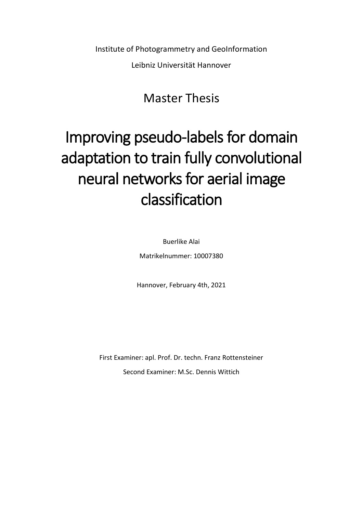Institute of Photogrammetry and GeoInformation

Leibniz Universität Hannover

## Master Thesis

## Improving pseudo-labels for domain adaptation to train fully convolutional neural networks for aerial image classification

Buerlike Alai

Matrikelnummer: 10007380

Hannover, February 4th, 2021

First Examiner: apl. Prof. Dr. techn. Franz Rottensteiner Second Examiner: M.Sc. Dennis Wittich